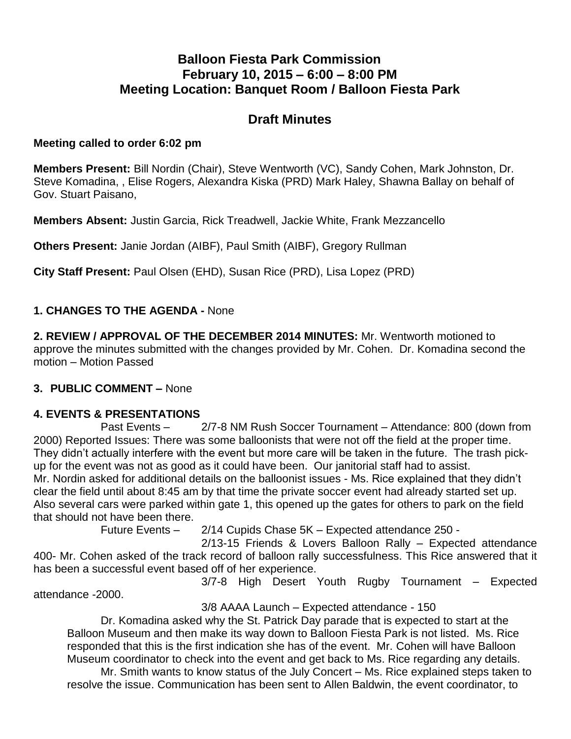# **Balloon Fiesta Park Commission February 10, 2015 – 6:00 – 8:00 PM Meeting Location: Banquet Room / Balloon Fiesta Park**

# **Draft Minutes**

### **Meeting called to order 6:02 pm**

**Members Present:** Bill Nordin (Chair), Steve Wentworth (VC), Sandy Cohen, Mark Johnston, Dr. Steve Komadina, , Elise Rogers, Alexandra Kiska (PRD) Mark Haley, Shawna Ballay on behalf of Gov. Stuart Paisano,

**Members Absent:** Justin Garcia, Rick Treadwell, Jackie White, Frank Mezzancello

**Others Present:** Janie Jordan (AIBF), Paul Smith (AIBF), Gregory Rullman

**City Staff Present:** Paul Olsen (EHD), Susan Rice (PRD), Lisa Lopez (PRD)

## **1. CHANGES TO THE AGENDA -** None

**2. REVIEW / APPROVAL OF THE DECEMBER 2014 MINUTES:** Mr. Wentworth motioned to approve the minutes submitted with the changes provided by Mr. Cohen. Dr. Komadina second the motion – Motion Passed

## **3. PUBLIC COMMENT –** None

#### **4. EVENTS & PRESENTATIONS**

Past Events – 2/7-8 NM Rush Soccer Tournament – Attendance: 800 (down from 2000) Reported Issues: There was some balloonists that were not off the field at the proper time. They didn't actually interfere with the event but more care will be taken in the future. The trash pickup for the event was not as good as it could have been. Our janitorial staff had to assist. Mr. Nordin asked for additional details on the balloonist issues - Ms. Rice explained that they didn't clear the field until about 8:45 am by that time the private soccer event had already started set up. Also several cars were parked within gate 1, this opened up the gates for others to park on the field that should not have been there.

Future Events – 2/14 Cupids Chase 5K – Expected attendance 250 -

 2/13-15 Friends & Lovers Balloon Rally – Expected attendance 400- Mr. Cohen asked of the track record of balloon rally successfulness. This Rice answered that it has been a successful event based off of her experience.

3/7-8 High Desert Youth Rugby Tournament – Expected attendance -2000.

3/8 AAAA Launch – Expected attendance - 150

Dr. Komadina asked why the St. Patrick Day parade that is expected to start at the Balloon Museum and then make its way down to Balloon Fiesta Park is not listed. Ms. Rice responded that this is the first indication she has of the event. Mr. Cohen will have Balloon Museum coordinator to check into the event and get back to Ms. Rice regarding any details.

Mr. Smith wants to know status of the July Concert – Ms. Rice explained steps taken to resolve the issue. Communication has been sent to Allen Baldwin, the event coordinator, to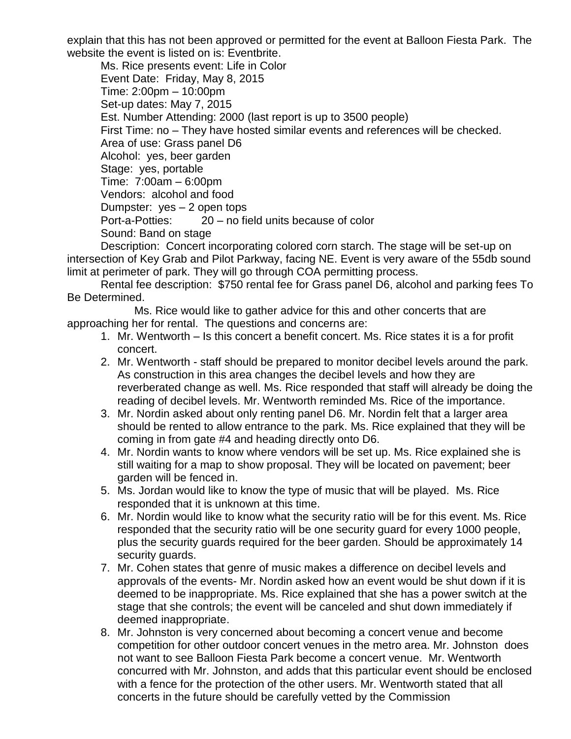explain that this has not been approved or permitted for the event at Balloon Fiesta Park. The website the event is listed on is: Eventbrite.

Ms. Rice presents event: Life in Color Event Date: Friday, May 8, 2015 Time: 2:00pm – 10:00pm Set-up dates: May 7, 2015 Est. Number Attending: 2000 (last report is up to 3500 people) First Time: no – They have hosted similar events and references will be checked. Area of use: Grass panel D6 Alcohol: yes, beer garden Stage: yes, portable Time: 7:00am – 6:00pm Vendors: alcohol and food Dumpster: yes – 2 open tops Port-a-Potties: 20 – no field units because of color Sound: Band on stage

Description: Concert incorporating colored corn starch. The stage will be set-up on intersection of Key Grab and Pilot Parkway, facing NE. Event is very aware of the 55db sound limit at perimeter of park. They will go through COA permitting process.

Rental fee description: \$750 rental fee for Grass panel D6, alcohol and parking fees To Be Determined.

Ms. Rice would like to gather advice for this and other concerts that are approaching her for rental. The questions and concerns are:

- 1. Mr. Wentworth Is this concert a benefit concert. Ms. Rice states it is a for profit concert.
- 2. Mr. Wentworth staff should be prepared to monitor decibel levels around the park. As construction in this area changes the decibel levels and how they are reverberated change as well. Ms. Rice responded that staff will already be doing the reading of decibel levels. Mr. Wentworth reminded Ms. Rice of the importance.
- 3. Mr. Nordin asked about only renting panel D6. Mr. Nordin felt that a larger area should be rented to allow entrance to the park. Ms. Rice explained that they will be coming in from gate #4 and heading directly onto D6.
- 4. Mr. Nordin wants to know where vendors will be set up. Ms. Rice explained she is still waiting for a map to show proposal. They will be located on pavement; beer garden will be fenced in.
- 5. Ms. Jordan would like to know the type of music that will be played. Ms. Rice responded that it is unknown at this time.
- 6. Mr. Nordin would like to know what the security ratio will be for this event. Ms. Rice responded that the security ratio will be one security guard for every 1000 people, plus the security guards required for the beer garden. Should be approximately 14 security quards.
- 7. Mr. Cohen states that genre of music makes a difference on decibel levels and approvals of the events- Mr. Nordin asked how an event would be shut down if it is deemed to be inappropriate. Ms. Rice explained that she has a power switch at the stage that she controls; the event will be canceled and shut down immediately if deemed inappropriate.
- 8. Mr. Johnston is very concerned about becoming a concert venue and become competition for other outdoor concert venues in the metro area. Mr. Johnston does not want to see Balloon Fiesta Park become a concert venue. Mr. Wentworth concurred with Mr. Johnston, and adds that this particular event should be enclosed with a fence for the protection of the other users. Mr. Wentworth stated that all concerts in the future should be carefully vetted by the Commission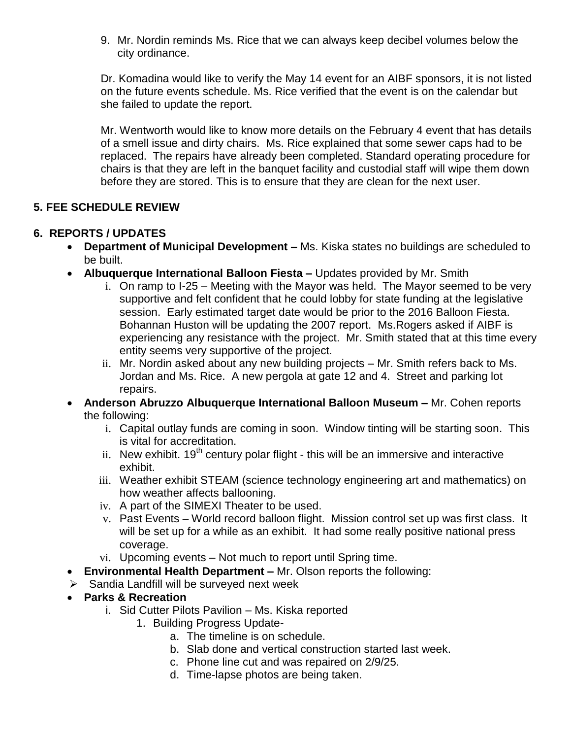9. Mr. Nordin reminds Ms. Rice that we can always keep decibel volumes below the city ordinance.

Dr. Komadina would like to verify the May 14 event for an AIBF sponsors, it is not listed on the future events schedule. Ms. Rice verified that the event is on the calendar but she failed to update the report.

Mr. Wentworth would like to know more details on the February 4 event that has details of a smell issue and dirty chairs. Ms. Rice explained that some sewer caps had to be replaced. The repairs have already been completed. Standard operating procedure for chairs is that they are left in the banquet facility and custodial staff will wipe them down before they are stored. This is to ensure that they are clean for the next user.

# **5. FEE SCHEDULE REVIEW**

# **6. REPORTS / UPDATES**

- **Department of Municipal Development –** Ms. Kiska states no buildings are scheduled to be built.
- **Albuquerque International Balloon Fiesta –** Updates provided by Mr. Smith
	- i. On ramp to I-25 Meeting with the Mayor was held. The Mayor seemed to be very supportive and felt confident that he could lobby for state funding at the legislative session. Early estimated target date would be prior to the 2016 Balloon Fiesta. Bohannan Huston will be updating the 2007 report. Ms.Rogers asked if AIBF is experiencing any resistance with the project. Mr. Smith stated that at this time every entity seems very supportive of the project.
	- ii. Mr. Nordin asked about any new building projects Mr. Smith refers back to Ms. Jordan and Ms. Rice. A new pergola at gate 12 and 4. Street and parking lot repairs.
- **Anderson Abruzzo Albuquerque International Balloon Museum –** Mr. Cohen reports the following:
	- i. Capital outlay funds are coming in soon. Window tinting will be starting soon. This is vital for accreditation.
	- ii. New exhibit.  $19<sup>th</sup>$  century polar flight this will be an immersive and interactive exhibit.
	- iii. Weather exhibit STEAM (science technology engineering art and mathematics) on how weather affects ballooning.
	- iv. A part of the SIMEXI Theater to be used.
	- v. Past Events World record balloon flight. Mission control set up was first class. It will be set up for a while as an exhibit. It had some really positive national press coverage.
	- vi. Upcoming events Not much to report until Spring time.
- **Environmental Health Department –** Mr. Olson reports the following:
- $\triangleright$  Sandia Landfill will be surveyed next week
- **Parks & Recreation**
	- i. Sid Cutter Pilots Pavilion Ms. Kiska reported
		- 1. Building Progress Update
			- a. The timeline is on schedule.
			- b. Slab done and vertical construction started last week.
			- c. Phone line cut and was repaired on 2/9/25.
			- d. Time-lapse photos are being taken.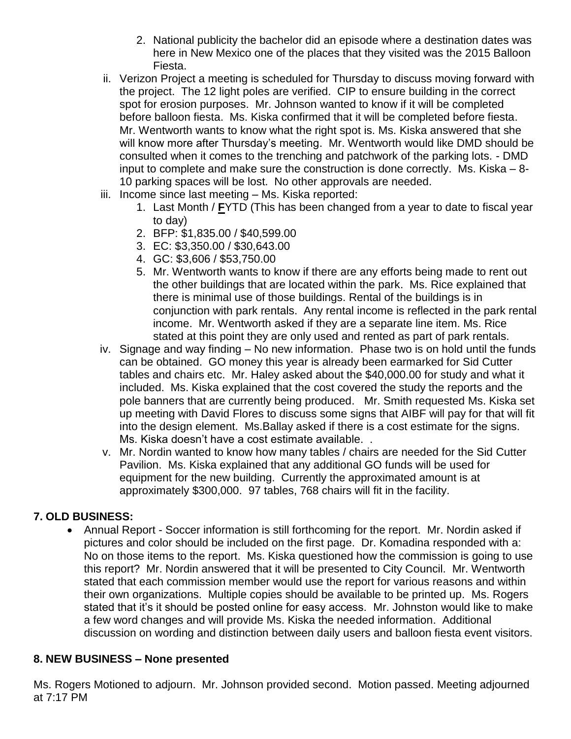- 2. National publicity the bachelor did an episode where a destination dates was here in New Mexico one of the places that they visited was the 2015 Balloon Fiesta.
- ii. Verizon Project a meeting is scheduled for Thursday to discuss moving forward with the project. The 12 light poles are verified. CIP to ensure building in the correct spot for erosion purposes. Mr. Johnson wanted to know if it will be completed before balloon fiesta. Ms. Kiska confirmed that it will be completed before fiesta. Mr. Wentworth wants to know what the right spot is. Ms. Kiska answered that she will know more after Thursday's meeting. Mr. Wentworth would like DMD should be consulted when it comes to the trenching and patchwork of the parking lots. - DMD input to complete and make sure the construction is done correctly. Ms. Kiska – 8- 10 parking spaces will be lost. No other approvals are needed.
- iii. Income since last meeting Ms. Kiska reported:
	- 1. Last Month / **F**YTD (This has been changed from a year to date to fiscal year to day)
	- 2. BFP: \$1,835.00 / \$40,599.00
	- 3. EC: \$3,350.00 / \$30,643.00
	- 4. GC: \$3,606 / \$53,750.00
	- 5. Mr. Wentworth wants to know if there are any efforts being made to rent out the other buildings that are located within the park. Ms. Rice explained that there is minimal use of those buildings. Rental of the buildings is in conjunction with park rentals. Any rental income is reflected in the park rental income. Mr. Wentworth asked if they are a separate line item. Ms. Rice stated at this point they are only used and rented as part of park rentals.
- iv. Signage and way finding No new information. Phase two is on hold until the funds can be obtained. GO money this year is already been earmarked for Sid Cutter tables and chairs etc. Mr. Haley asked about the \$40,000.00 for study and what it included. Ms. Kiska explained that the cost covered the study the reports and the pole banners that are currently being produced. Mr. Smith requested Ms. Kiska set up meeting with David Flores to discuss some signs that AIBF will pay for that will fit into the design element. Ms.Ballay asked if there is a cost estimate for the signs. Ms. Kiska doesn't have a cost estimate available. .
- v. Mr. Nordin wanted to know how many tables / chairs are needed for the Sid Cutter Pavilion. Ms. Kiska explained that any additional GO funds will be used for equipment for the new building. Currently the approximated amount is at approximately \$300,000. 97 tables, 768 chairs will fit in the facility.

## **7. OLD BUSINESS:**

 Annual Report - Soccer information is still forthcoming for the report. Mr. Nordin asked if pictures and color should be included on the first page. Dr. Komadina responded with a: No on those items to the report. Ms. Kiska questioned how the commission is going to use this report? Mr. Nordin answered that it will be presented to City Council. Mr. Wentworth stated that each commission member would use the report for various reasons and within their own organizations. Multiple copies should be available to be printed up. Ms. Rogers stated that it's it should be posted online for easy access. Mr. Johnston would like to make a few word changes and will provide Ms. Kiska the needed information. Additional discussion on wording and distinction between daily users and balloon fiesta event visitors.

## **8. NEW BUSINESS – None presented**

Ms. Rogers Motioned to adjourn. Mr. Johnson provided second. Motion passed. Meeting adjourned at 7:17 PM